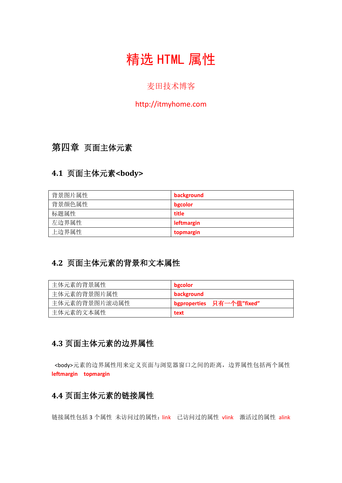# 精选 HTML 属性

#### 麦田技术博客

#### http://itmyhome.com

## 第四章 页面主体元素

#### **4.1** 页面主体元素**<body>**

| 背景图片属性 | background |
|--------|------------|
| 背景颜色属性 | bgcolor    |
| 标题属性   | title      |
| 左边界属性  | leftmargin |
| 上边界属性  | topmargin  |

## **4.2** 页面主体元素的背景和文本属性

| 主体元素的背景属性     | bgcolor                   |
|---------------|---------------------------|
| 主体元素的背景图片属性   | background                |
| 主体元素的背景图片滚动属性 | bgproperties 只有一个值"fixed" |
| 主体元素的文本属性     | text                      |

#### **4.3** 页面主体元素的边界属性

<body>元素的边界属性用来定义页面与浏览器窗口之间的距离,边界属性包括两个属性 **leftmargin topmargin**

#### **4.4** 页面主体元素的链接属性

链接属性包括 3 个属性 未访问过的属性: link 已访问过的属性 vlink 激活过的属性 alink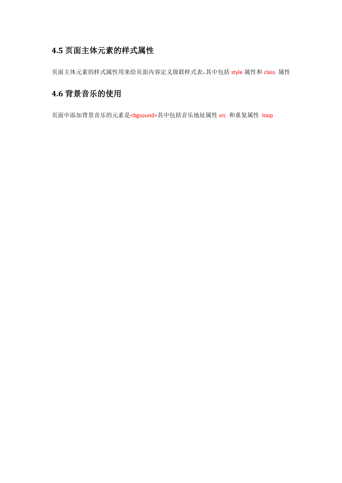### **4.5** 页面主体元素的样式属性

页面主体元素的样式属性用来给页面内容定义级联样式表,其中包括 style 属性和 class 属性

## **4.6** 背景音乐的使用

页面中添加背景音乐的元素是<bgsound>其中包括音乐地址属性 src 和重复属性 loop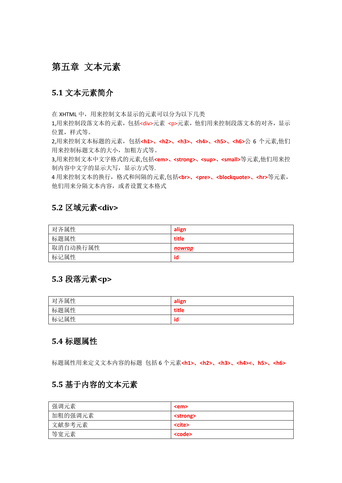## 第五章 文本元素

#### **5.1** 文本元素简介

在 XHTML 中, 用来控制文本显示的元素可以分为以下几类

1,用来控制段落文本的元素,包括<div>元素 <p>元素,他们用来控制段落文本的对齐, 显示 位置,样式等。

2,用来控制文本标题的元素,包括**<h1>**、**<h2>**、**<h3>**、**<h4>**、**<h5>**、**<h6>**公 6 个元素,他们 用来控制标题文本的大小,加粗方式等。

3,用来控制文本中文字格式的元素,包括<em>、<strong>、<sup>、<small>等元素,他们用来控 制内容中文字的显示大写,显示方式等.

4 用来控制文本的换行,格式和间隔的元素,包括**<br>**、**<pre>**、**<blockquote>**、**<hr>**等元素, 他们用来分隔文本内容,或者设置文本格式

#### **5.2** 区域元素**<div>**

| 对齐属性     | align  |
|----------|--------|
| 标题属性     | title  |
| 取消自动换行属性 | nowrap |
| 标记属性     | id     |

#### **5.3** 段落元素**<p>**

| 对齐属性 | align           |
|------|-----------------|
| 标题属性 | title           |
| 标记属性 | $\bullet$<br>ıd |

#### **5.4** 标题属性

标题属性用来定义文本内容的标题 包括 6 个元素**<h1>**、**<h2>**、**<h3>**、**<h4><**、**h5>**、**<h6>**

#### **5.5** 基于内容的文本元素

| 强调元素    | <em></em>         |
|---------|-------------------|
| 加粗的强调元素 | <strong></strong> |
| 文献参考元素  | <cite></cite>     |
| 等宽元素    | <code></code>     |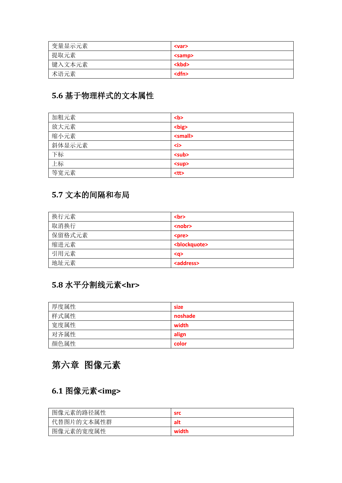| 变量显示元素 | <var></var>   |
|--------|---------------|
| 提取元素   | <samp></samp> |
| 键入文本元素 | <kbd></kbd>   |
| 术语元素   | <dfn></dfn>   |

## **5.6** 基于物理样式的文本属性

| 加粗元素   | $5$             |
|--------|-----------------|
| 放大元素   | <big></big>     |
| 缩小元素   | <small></small> |
| 斜体显示元素 | <i></i>         |
| 下标     | <sub></sub>     |
| 上标     | <sup></sup>     |
| 等宽元素   | $<$ tt $>$      |

## **5.7** 文本的间隔和布局

| 换行元素   | <br><sub>2</sub>          |
|--------|---------------------------|
| 取消换行   | <nobr></nobr>             |
| 保留格式元素 | <pre></pre>               |
| 缩进元素   | <blockquote></blockquote> |
| 引用元素   | $<$ q>                    |
| 地址元素   | <address></address>       |

## **5.8** 水平分割线元素**<hr>**

| 厚度属性 | size    |
|------|---------|
| 样式属性 | noshade |
| 宽度属性 | width   |
| 对齐属性 | align   |
| 颜色属性 | color   |

## 第六章 图像元素

## **6.1** 图像元素**<img>**

| 图像元素的路径属性  | <b>src</b> |
|------------|------------|
| 代替图片的文本属性群 | alt        |
| 图像元素的宽度属性  | width      |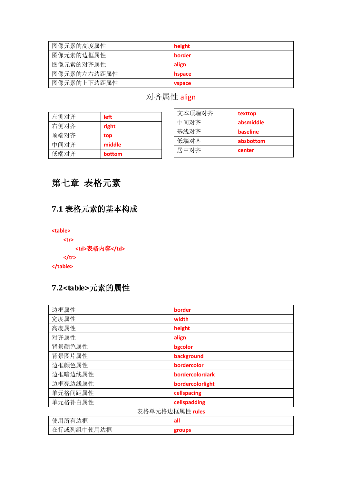| 图像元素的高度属性   | height        |
|-------------|---------------|
| 图像元素的边框属性   | border        |
| 图像元素的对齐属性   | align         |
| 图像元素的左右边距属性 | hspace        |
| 图像元素的上下边距属性 | <b>vspace</b> |

## 对齐属性 align

| 左侧对齐 | <b>left</b> |
|------|-------------|
| 右侧对齐 | right       |
| 顶端对齐 | top         |
| 中间对齐 | middle      |
| 低端对齐 | bottom      |

| 文本顶端对齐 | texttop   |
|--------|-----------|
| 中间对齐   | absmiddle |
| 基线对齐   | baseline  |
| 低端对齐   | absbottom |
| 居中对齐   | center    |

## 第七章 表格元素

## **7.1** 表格元素的基本构成

**<table>**

**<tr>**

```
 <td>表格内容</td>
```
**</tr>**

**</table>**

#### **7.2<table>**元素的属性

| 边框属性            | border           |  |
|-----------------|------------------|--|
| 宽度属性            | width            |  |
| 高度属性            | height           |  |
| 对齐属性            | align            |  |
| 背景颜色属性          | bgcolor          |  |
| 背景图片属性          | background       |  |
| 边框颜色属性          | bordercolor      |  |
| 边框暗边线属性         | bordercolordark  |  |
| 边框亮边线属性         | bordercolorlight |  |
| 单元格间距属性         | cellspacing      |  |
| 单元格补白属性         | cellspadding     |  |
| 表格单元格边框属性 rules |                  |  |
| 使用所有边框          | all              |  |
| 在行或列组中使用边框      | groups           |  |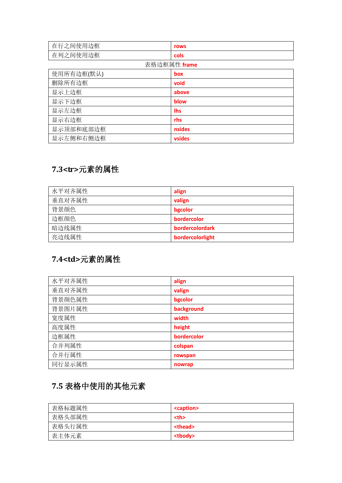| 在行之间使用边框     | rows          |  |
|--------------|---------------|--|
| 在列之间使用边框     | cols          |  |
| 表格边框属性 frame |               |  |
| 使用所有边框(默认)   | box           |  |
| 删除所有边框       | void          |  |
| 显示上边框        | above         |  |
| 显示下边框        | blow          |  |
| 显示左边框        | <b>Ihs</b>    |  |
| 显示右边框        | rhs           |  |
| 显示顶部和底部边框    | <b>nsides</b> |  |
| 显示左侧和右侧边框    | vsides        |  |

## **7.3<tr>**元素的属性

| 水平对齐属性 | align            |
|--------|------------------|
| 垂直对齐属性 | valign           |
| 背景颜色   | bgcolor          |
| 边框颜色   | bordercolor      |
| 暗边线属性  | bordercolordark  |
| 亮边线属性  | bordercolorlight |

## **7.4<td>**元素的属性

| 水平对齐属性 | align       |
|--------|-------------|
| 垂直对齐属性 | valign      |
| 背景颜色属性 | bgcolor     |
| 背景图片属性 | background  |
| 宽度属性   | width       |
| 高度属性   | height      |
| 边框属性   | bordercolor |
| 合并列属性  | colspan     |
| 合并行属性  | rowspan     |
| 同行显示属性 | nowrap      |

## **7.5** 表格中使用的其他元素

| 表格标题属性 | <caption></caption> |  |
|--------|---------------------|--|
| 表格头部属性 | <th></th>           |  |
| 表格头行属性 | <thead></thead>     |  |
| 表主体元素  | <tbody></tbody>     |  |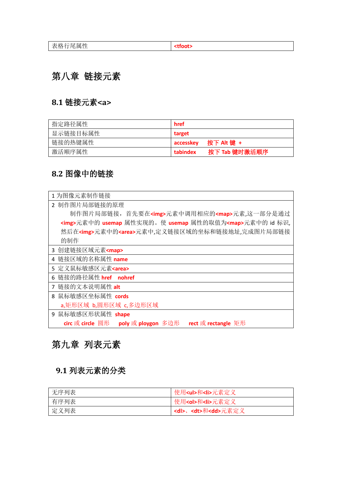## 第八章 链接元素

## **8.1** 链接元素**<a>**

| 指定路径属性   | href                      |
|----------|---------------------------|
| 显示链接目标属性 | target                    |
| 链接的热键属性  | accesskey                 |
| 激活顺序属性   | 按下 Tab 键时激活顺序<br>tabindex |

#### **8.2** 图像中的链接

| 1 为图像元素制作链接                                                     |
|-----------------------------------------------------------------|
| 2 制作图片局部链接的原理                                                   |
| 制作图片局部链接, 首先要在 <img/> 元素中调用相应的 <map>元素,这一部分是通过</map>            |
| <img/> 元素中的 usemap 属性实现的。使 usemap 属性的取值为 <map>元素中的 id 标识,</map> |
| 然后在 <img/> 元素中的 <area/> 元素中,定义链接区域的坐标和链接地址,完成图片局部链接             |
| 的制作                                                             |
| 3 创建链接区域元素 <map></map>                                          |
| 4 链接区域的名称属性 name                                                |
| 5 定义鼠标敏感区元素 <area/>                                             |
| 链接的路径属性 href nohref<br>6                                        |
| 链接的文本说明属性 alt<br>$\overline{7}$                                 |
| 鼠标敏感区坐标属性 cords<br>8                                            |
| a,矩形区域 b,圆形区域 c,多边形区域                                           |
| 鼠标敏感区形状属性 shape<br>q                                            |
| circ 或 circle 圆形 poly 或 ploygon 多边形<br>rect 或 rectangle 矩形      |

## 第九章 列表元素

## **9.1** 列表元素的分类

| 无序列表 | 使用 <ul>和<li>元素定义</li></ul>        |
|------|-----------------------------------|
| 有序列表 | 使用 <ol>和<li>元素定义</li></ol>        |
| 定义列表 | <dl>、<dt>和<dd>元素定义</dd></dt></dl> |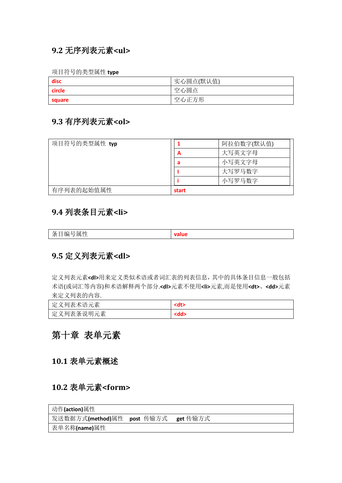#### **9.2** 无序列表元素**<ul>**

项目符号的类型属性 **type**

| disc   | 实心圆点(默认值) |
|--------|-----------|
| circle | 空心圆点      |
| square | 空心正方形     |

#### **9.3** 有序列表元素**<ol>**

| 项目符号的类型属性 typ |       | 阿拉伯数字(默认值) |
|---------------|-------|------------|
|               | A     | 大写英文字母     |
|               | а     | 小写英文字母     |
|               |       | 大写罗马数字     |
|               |       | 小写罗马数字     |
| 有序列表的起始值属性    | start |            |

#### **9.4** 列表条目元素**<li>**

| <b>.</b><br>$\overline{U}$<br>$\check{ }$<br>一一<br>≃<br>/齿1<br>≖<br>$-$ |  |
|-------------------------------------------------------------------------|--|

#### **9.5** 定义列表元素**<dl>**

定义列表元素**<dl>**用来定义类似术语或者词汇表的列表信息,其中的具体条目信息一般包括 术语(或词汇等内容)和术语解释两个部分.**<dl>**元素不使用**<li>**元素,而是使用**<dt>**、**<dd>**元素 来定义列表的内容.

| 义列表术语元素<br>一定 ) |  |
|-----------------|--|
| 定义列表条说明元素       |  |

## 第十章 表单元素

**10.1** 表单元素概述

#### **10.2** 表单元素**<form>**

| 动作(action)属性                        |  |  |
|-------------------------------------|--|--|
| 发送数据方式(method)属性 post 传输方式 get 传输方式 |  |  |
| 表单名称(name)属性                        |  |  |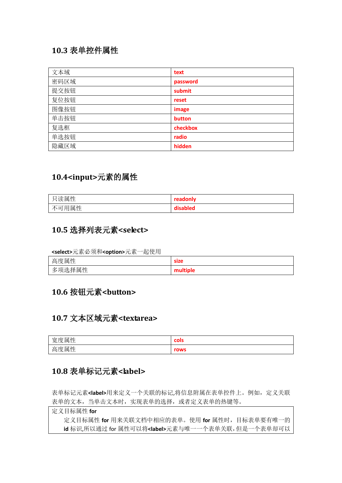#### **10.3** 表单控件属性

| 文本域  | text     |
|------|----------|
| 密码区域 | password |
| 提交按钮 | submit   |
| 复位按钮 | reset    |
| 图像按钮 | image    |
| 单击按钮 | button   |
| 复选框  | checkbox |
| 单选按钮 | radio    |
| 隐藏区域 | hidden   |

#### **10.4<input>**元素的属性

| 读属性<br>. . | readonly |
|------------|----------|
| 不可用属性      | disabled |

#### **10.5** 选择列表元素**<select>**

**<select>**元素必须和**<option>**元素一起使用

| 高度属性   | <b>size</b> |
|--------|-------------|
| 多项选择属性 | multiple    |

#### **10.6** 按钮元素**<button>**

#### **10.7** 文本区域元素**<textarea>**

| 宽度属性 | cols |
|------|------|
| 高度属性 | rows |

#### **10.8** 表单标记元素**<label>**

表单标记元素**<label>**用来定义一个关联的标记,将信息附属在表单控件上。例如,定义关联 表单的文本,当单击文本时,实现表单的选择,或者定义表单的热键等。

定义目标属性 **for**  定义目标属性 **for** 用来关联文档中相应的表单。使用 **for** 属性时,目标表单要有唯一的 **id** 标识,所以通过 for 属性可以将**<label>**元素与唯一一个表单关联,但是一个表单却可以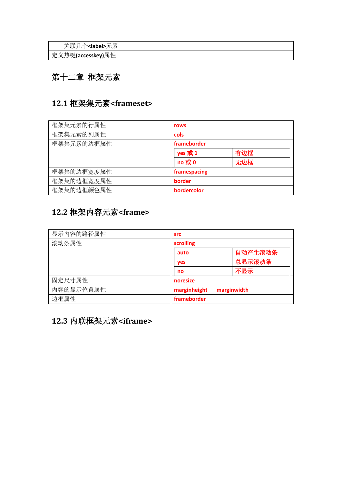关联几个**<label>**元素

定义热键**(accesskey)**属性

## 第十二章 框架元素

## **12.1** 框架集元素**<frameset>**

| 框架集元素的行属性  | rows          |     |
|------------|---------------|-----|
| 框架集元素的列属性  | cols          |     |
| 框架集元素的边框属性 | frameborder   |     |
|            | yes 或 1       | 有边框 |
|            | no 或 0<br>无边框 |     |
| 框架集的边框宽度属性 | framespacing  |     |
| 框架集的边框宽度属性 | border        |     |
| 框架集的边框颜色属性 | bordercolor   |     |

## **12.2** 框架内容元素**<frame>**

| 显示内容的路径属性 | <b>src</b>                  |         |
|-----------|-----------------------------|---------|
| 滚动条属性     | scrolling                   |         |
|           | auto                        | 自动产生滚动条 |
|           | yes                         | 总显示滚动条  |
|           | no                          | 不显示     |
| 固定尺寸属性    | noresize                    |         |
| 内容的显示位置属性 | marginheight<br>marginwidth |         |
| 边框属性      | frameborder                 |         |

## **12.3** 内联框架元素**<iframe>**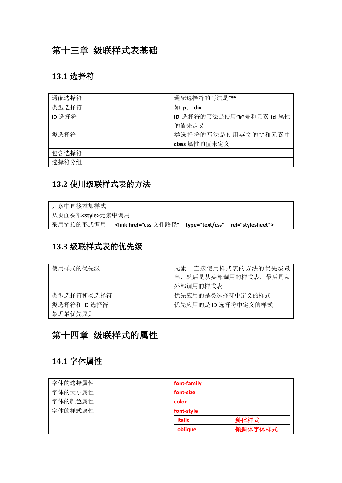## 第十三章 级联样式表基础

### **13.1** 选择符

| 通配选择符  | 通配选择符的写法是"*"              |
|--------|---------------------------|
| 类型选择符  | 如<br>div<br>p,            |
| ID 选择符 | ID 选择符的写法是使用"#"号和元素 id 属性 |
|        | 的值来定义                     |
| 类选择符   | 类选择符的写法是使用英文的""和元素中       |
|        | class 属性的值来定义             |
| 包含选择符  |                           |
| 选择符分组  |                           |

## **13.2** 使用级联样式表的方法

| 元素中直接添加样式             |  |  |
|-----------------------|--|--|
| 从页面头部 <style></style> |  |  |

### **13.3** 级联样式表的优先级

| 使用样式的优先级     | 元素中直接使用样式表的方法的优先级最    |  |
|--------------|-----------------------|--|
|              | 高, 然后是从头部调用的样式表, 最后是从 |  |
|              | 外部调用的样式表              |  |
| 类型选择符和类选择符   | 优先应用的是类选择符中定义的样式      |  |
| 类选择符和 ID 选择符 | 优先应用的是 ID 选择符中定义的样式   |  |
| 最近最优先原则      |                       |  |

## 第十四章 级联样式的属性

#### **14.1** 字体属性

| 字体的选择属性 | font-family |         |
|---------|-------------|---------|
| 字体的大小属性 | font-size   |         |
| 字体的颜色属性 | color       |         |
| 字体的样式属性 | font-style  |         |
|         | italic      | 斜体样式    |
|         | oblique     | 倾斜体字体样式 |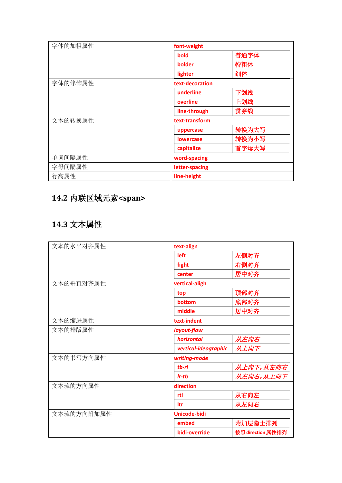| 字体的加粗属性 | font-weight      |       |
|---------|------------------|-------|
|         | bold             | 普通字体  |
|         | bolder           | 特粗体   |
|         | lighter          | 细体    |
| 字体的修饰属性 | text-decoration  |       |
|         | underline        | 下划线   |
|         | overline         | 上划线   |
|         | line-through     | 贯穿线   |
| 文本的转换属性 | text-transform   |       |
|         | uppercase        | 转换为大写 |
|         | <b>lowercase</b> | 转换为小写 |
|         | capitalize       | 首字母大写 |
| 单词间隔属性  | word-spacing     |       |
| 字母间隔属性  | letter-spacing   |       |
| 行高属性    | line-height      |       |

## **14.2** 内联区域元素**<span>**

## **14.3** 文本属性

| 文本的水平对齐属性  | text-align           |                   |  |
|------------|----------------------|-------------------|--|
|            | left                 | 左侧对齐              |  |
|            | fight                | 右侧对齐              |  |
|            | center               | 居中对齐              |  |
| 文本的垂直对齐属性  | vertical-aligh       |                   |  |
|            | top                  | 顶部对齐              |  |
|            | bottom               | 底部对齐              |  |
|            | middle               | 居中对齐              |  |
| 文本的缩进属性    | text-indent          |                   |  |
| 文本的排版属性    | layout-flow          |                   |  |
|            | horizontal           | 从左向右              |  |
|            | vertical-ideographic | 从上向下              |  |
| 文本的书写方向属性  | writing-mode         |                   |  |
|            | $tb$ - $rl$          | 从上向下,从左向右         |  |
|            | $Ir$ -t $b$          | 从左向右,从上向下         |  |
| 文本流的方向属性   | direction            |                   |  |
|            | rtl                  | 从右向左              |  |
|            | ltr                  | 从左向右              |  |
| 文本流的方向附加属性 | <b>Unicode-bidi</b>  |                   |  |
|            | embed                | 附加层隐士排列           |  |
|            | bidi-override        | 按照 direction 属性排列 |  |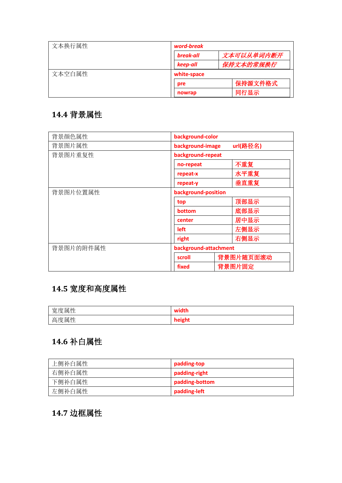| 文本换行属性 | word-break  |            |  |
|--------|-------------|------------|--|
|        | break-all   | 文本可以从单词内断开 |  |
|        | keep-all    | 保持文本的常规换行  |  |
| 文本空白属性 | white-space |            |  |
|        | pre         | 保持源文件格式    |  |
|        | nowrap      | 同行显示       |  |

## **14.4** 背景属性

| 背景颜色属性    | background-color             |           |
|-----------|------------------------------|-----------|
| 背景图片属性    | url(路径名)<br>background-image |           |
| 背景图片重复性   | background-repeat            |           |
|           | no-repeat                    | 不重复       |
|           | repeat-x                     | 水平重复      |
|           | repeat-y                     | 垂直重复      |
| 背景图片位置属性  | background-position          |           |
|           | top                          | 顶部显示      |
|           | bottom                       | 底部显示      |
|           | center                       | 居中显示      |
|           | left                         | 左侧显示      |
|           | right                        | 右侧显示      |
| 背景图片的附件属性 | background-attachment        |           |
|           | scroll                       | 背景图片随页面滚动 |
|           | fixed                        | 背景图片固定    |

## **14.5** 宽度和高度属性

| 宽度属性 | width  |
|------|--------|
| 高度属性 | height |

## **14.6** 补白属性

| 上侧补白属性 | padding-top    |
|--------|----------------|
| 右侧补白属性 | padding-right  |
| 下侧补白属性 | padding-bottom |
| 左侧补白属性 | padding-left   |

## **14.7** 边框属性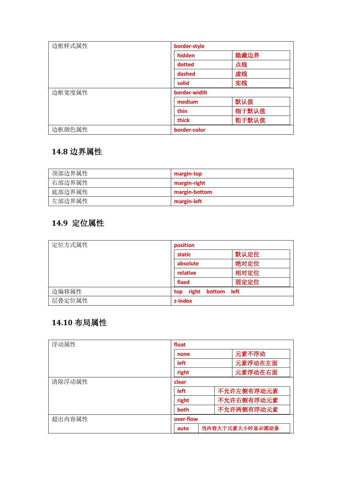| 边框样式属性 | border-style |       |
|--------|--------------|-------|
|        | hidden       | 隐藏边界  |
|        | dotted       | 点线    |
|        | dashed       | 虚线    |
|        | solid        | 实线    |
| 边框宽度属性 | border-width |       |
|        | medium       | 默认值   |
|        | thin         | 细于默认值 |
|        | thick        | 粗于默认值 |
| 边框颜色属性 | border-color |       |

## **14.8** 边界属性

| 顶部边界属性 | margin-top    |
|--------|---------------|
| 右部边界属性 | margin-right  |
| 底部边界属性 | margin-bottom |
| 左部边界属性 | margin-left   |

## **14.9** 定位属性

| 定位方式属性 | position               |      |
|--------|------------------------|------|
|        | static                 | 默认定位 |
|        | absolute               | 绝对定位 |
|        | relative               | 相对定位 |
|        | fixed                  | 固定定位 |
| 边偏移属性  | right<br>bottom<br>top | left |
| 层叠定位属性 | z-index                |      |

## **14.10** 布局属性

| 浮动属性   | float                       |  |                 |
|--------|-----------------------------|--|-----------------|
|        | none                        |  | 元素不浮动           |
|        | left<br>right               |  | 元素浮动在左面         |
|        |                             |  | 元素浮动在右面         |
| 清除浮动属性 | clear<br>不允许左侧有浮动元素<br>left |  |                 |
|        |                             |  |                 |
|        | right                       |  | 不允许右侧有浮动元素      |
|        | both                        |  | 不允许两侧有浮动元素      |
| 超出内容属性 | over-flow                   |  |                 |
|        | auto                        |  | 当内容大于元素大小时显示滚动条 |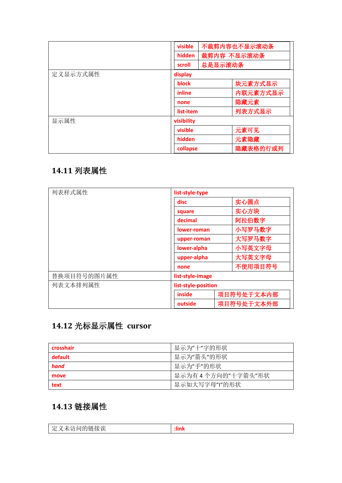|          | visible    | 不裁剪内容也不显示滚动条 |
|----------|------------|--------------|
|          | hidden     | 裁剪内容 不显示滚动条  |
|          | scroll     | 总是显示滚动条      |
| 定义显示方式属性 | display    |              |
|          | block      | 块元素方式显示      |
|          | inline     | 内联元素方式显示     |
|          | none       | 隐藏元素         |
|          | list-item  | 列表方式显示       |
| 显示属性     | visibility |              |
|          | visible    | 元素可见         |
|          | hidden     | 元素隐藏         |
|          | collapse   | 隐藏表格的行或列     |

## **14.11** 列表属性

| 列表样式属性      | list-style-type     |            |
|-------------|---------------------|------------|
|             | disc                | 实心圆点       |
|             | square              | 实心方块       |
|             | decimal             | 阿拉伯数字      |
|             | lower-roman         | 小写罗马数字     |
|             | upper-roman         | 大写罗马数字     |
|             | lower-alpha         | 小写英文字母     |
|             | upper-alpha         | 大写英文字母     |
|             | none                | 不使用项目符号    |
| 替换项目符号的图片属性 | list-style-image    |            |
| 列表文本排列属性    | list-style-position |            |
|             | inside              | 项目符号处于文本内部 |
|             | outside             | 项目符号处于文本外部 |

## **14.12** 光标显示属性 **cursor**

| crosshair | 显示为"十"字的形状          |
|-----------|---------------------|
| default   | 显示为"箭头"的形状          |
| hand      | 显示为"手"的形状           |
| move      | 显示为有 4 个方向的"十字箭头"形状 |
| text      | 显示如大写字母"I"的形状       |

## **14.13** 链接属性

| $\rightarrow$<br>∸<br>. .<br>$-$<br>$\sqrt{ }$<br>. .<br>$\cdots$ | . .<br> |
|-------------------------------------------------------------------|---------|